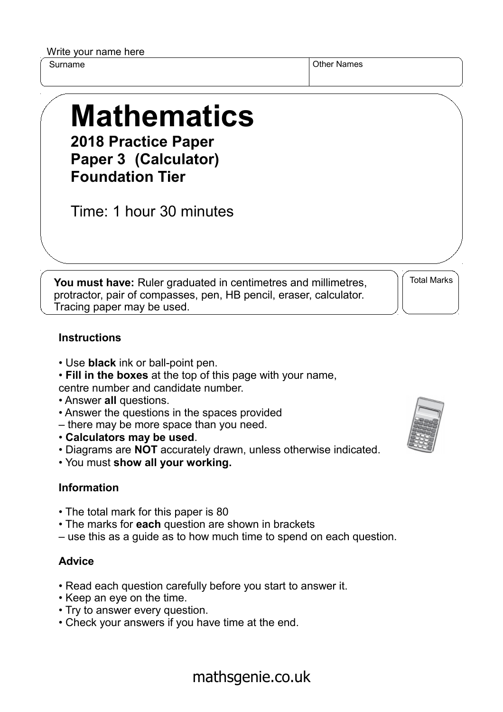Write your name here

Surname **Other Names** Other Names

## **Mathematics 2018 Practice Paper**

**Paper 3 (Calculator) Foundation Tier**

Time: 1 hour 30 minutes

**You must have:** Ruler graduated in centimetres and millimetres, protractor, pair of compasses, pen, HB pencil, eraser, calculator. Tracing paper may be used.

Total Marks

## **Instructions**

- Use **black** ink or ball-point pen.
- **Fill in the boxes** at the top of this page with your name, centre number and candidate number.
- Answer **all** questions.
- Answer the questions in the spaces provided
- there may be more space than you need.
- **Calculators may be used**.
- Diagrams are **NOT** accurately drawn, unless otherwise indicated.
- You must **show all your working.**

## **Information**

- The total mark for this paper is 80
- The marks for **each** question are shown in brackets
- use this as a guide as to how much time to spend on each question.

## **Advice**

- Read each question carefully before you start to answer it.
- Keep an eye on the time.
- Try to answer every question.
- Check your answers if you have time at the end.



mathsgenie.co.uk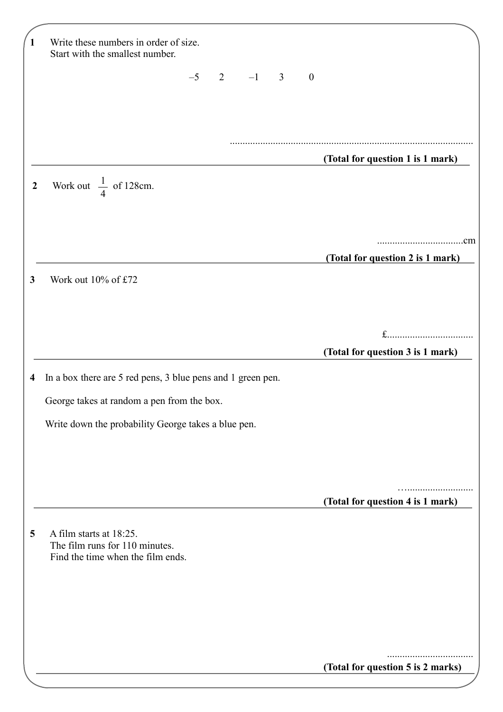| $\mathbf{1}$            | Write these numbers in order of size.<br>Start with the smallest number.                       |
|-------------------------|------------------------------------------------------------------------------------------------|
|                         | $-5$ 2 $-1$ 3<br>$\boldsymbol{0}$                                                              |
|                         |                                                                                                |
|                         |                                                                                                |
|                         |                                                                                                |
|                         | (Total for question 1 is 1 mark)                                                               |
| $\boldsymbol{2}$        | Work out $\frac{1}{4}$ of 128cm.                                                               |
|                         |                                                                                                |
|                         | (Total for question 2 is 1 mark)                                                               |
| 3                       | Work out 10% of £72                                                                            |
|                         |                                                                                                |
|                         |                                                                                                |
|                         | (Total for question 3 is 1 mark)                                                               |
| $\overline{\mathbf{4}}$ | In a box there are 5 red pens, 3 blue pens and 1 green pen.                                    |
|                         | George takes at random a pen from the box.                                                     |
|                         | Write down the probability George takes a blue pen.                                            |
|                         |                                                                                                |
|                         |                                                                                                |
|                         | (Total for question 4 is 1 mark)                                                               |
| 5                       | A film starts at 18:25.<br>The film runs for 110 minutes.<br>Find the time when the film ends. |
|                         |                                                                                                |
|                         |                                                                                                |
|                         |                                                                                                |
|                         | (Total for question 5 is 2 marks)                                                              |
|                         |                                                                                                |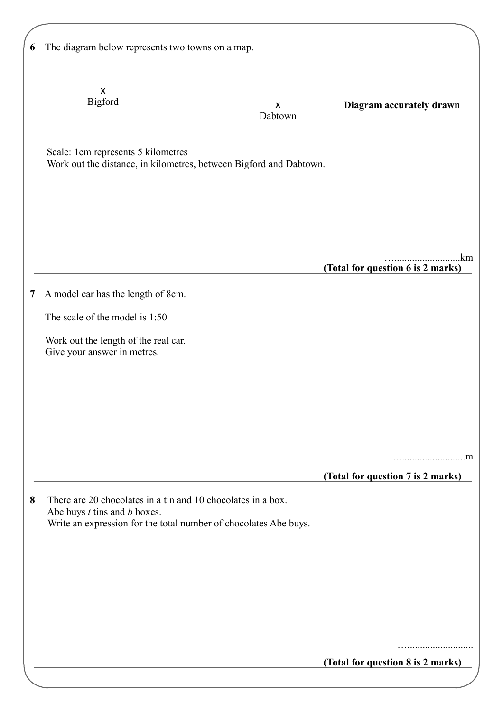| 6 | The diagram below represents two towns on a map.                                                                                                                     |                                                           |
|---|----------------------------------------------------------------------------------------------------------------------------------------------------------------------|-----------------------------------------------------------|
|   | X<br>Bigford                                                                                                                                                         | Diagram accurately drawn<br>$\pmb{\mathsf{X}}$<br>Dabtown |
|   | Scale: 1cm represents 5 kilometres<br>Work out the distance, in kilometres, between Bigford and Dabtown.                                                             |                                                           |
|   |                                                                                                                                                                      | .km                                                       |
|   |                                                                                                                                                                      | (Total for question 6 is 2 marks)                         |
| 7 | A model car has the length of 8cm.                                                                                                                                   |                                                           |
|   | The scale of the model is 1:50                                                                                                                                       |                                                           |
|   | Work out the length of the real car.<br>Give your answer in metres.                                                                                                  |                                                           |
|   |                                                                                                                                                                      |                                                           |
|   |                                                                                                                                                                      |                                                           |
|   |                                                                                                                                                                      |                                                           |
|   |                                                                                                                                                                      | (Total for question 7 is 2 marks)                         |
| 8 | There are 20 chocolates in a tin and 10 chocolates in a box.<br>Abe buys $t$ tins and $b$ boxes.<br>Write an expression for the total number of chocolates Abe buys. |                                                           |
|   |                                                                                                                                                                      |                                                           |
|   |                                                                                                                                                                      |                                                           |
|   |                                                                                                                                                                      |                                                           |
|   |                                                                                                                                                                      | (Total for question 8 is 2 marks)                         |
|   |                                                                                                                                                                      |                                                           |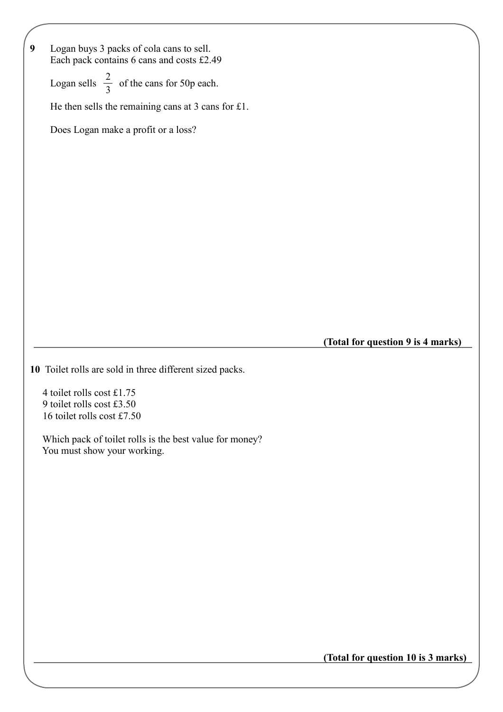| $\boldsymbol{9}$<br>Logan buys 3 packs of cola cans to sell.<br>Each pack contains 6 cans and costs £2.49 |                                    |
|-----------------------------------------------------------------------------------------------------------|------------------------------------|
| Logan sells $\frac{2}{3}$ of the cans for 50p each.                                                       |                                    |
| He then sells the remaining cans at 3 cans for $£1$ .                                                     |                                    |
| Does Logan make a profit or a loss?                                                                       |                                    |
|                                                                                                           |                                    |
|                                                                                                           |                                    |
|                                                                                                           |                                    |
|                                                                                                           |                                    |
|                                                                                                           |                                    |
|                                                                                                           |                                    |
|                                                                                                           |                                    |
|                                                                                                           |                                    |
|                                                                                                           |                                    |
|                                                                                                           |                                    |
|                                                                                                           |                                    |
| 10 Toilet rolls are sold in three different sized packs.                                                  |                                    |
| 4 toilet rolls cost £1.75                                                                                 |                                    |
| 9 toilet rolls cost £3.50                                                                                 |                                    |
| 16 toilet rolls cost £7.50                                                                                |                                    |
| Which pack of toilet rolls is the best value for money?<br>You must show your working.                    | (Total for question 9 is 4 marks)  |
|                                                                                                           |                                    |
|                                                                                                           |                                    |
|                                                                                                           |                                    |
|                                                                                                           |                                    |
|                                                                                                           |                                    |
|                                                                                                           |                                    |
|                                                                                                           |                                    |
|                                                                                                           |                                    |
|                                                                                                           | (Total for question 10 is 3 marks) |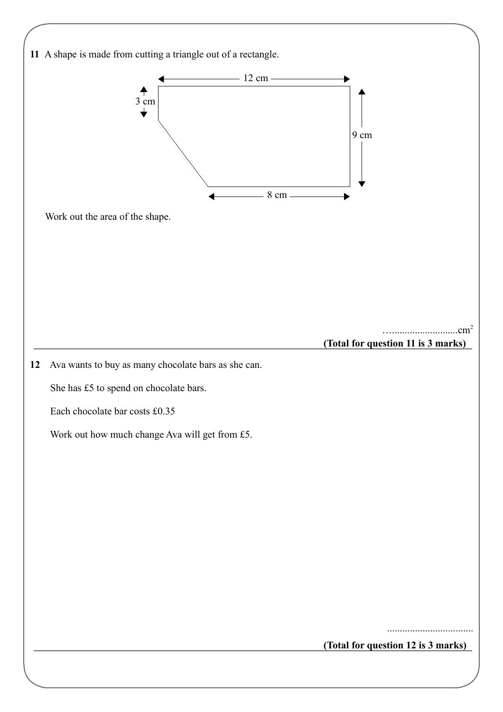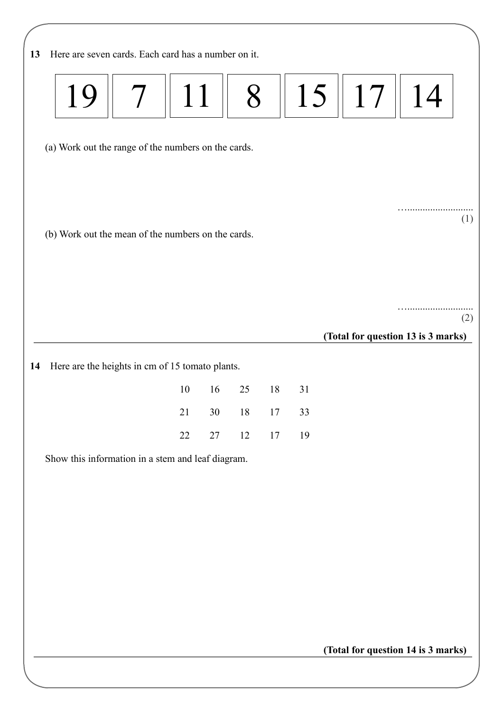| Here are seven cards. Each card has a number on it.<br>13 |    |        |        |    |                                    |    |     |
|-----------------------------------------------------------|----|--------|--------|----|------------------------------------|----|-----|
| 11<br>19                                                  |    | 8      |        | 15 | 17                                 | 14 |     |
| (a) Work out the range of the numbers on the cards.       |    |        |        |    |                                    |    |     |
| (b) Work out the mean of the numbers on the cards.        |    |        |        |    |                                    |    | (1) |
|                                                           |    |        |        |    | (Total for question 13 is 3 marks) |    | (2) |
| Here are the heights in cm of 15 tomato plants.<br>14     |    |        |        |    |                                    |    |     |
| 10                                                        | 16 | 25     | 18     | 31 |                                    |    |     |
| $21\,$                                                    | 30 | $18\,$ | $17\,$ | 33 |                                    |    |     |
| 22                                                        | 27 | 12     | $17\,$ | 19 |                                    |    |     |
| Show this information in a stem and leaf diagram.         |    |        |        |    |                                    |    |     |
|                                                           |    |        |        |    |                                    |    |     |
|                                                           |    |        |        |    |                                    |    |     |
|                                                           |    |        |        |    |                                    |    |     |
|                                                           |    |        |        |    |                                    |    |     |
|                                                           |    |        |        |    |                                    |    |     |
|                                                           |    |        |        |    |                                    |    |     |
|                                                           |    |        |        |    | (Total for question 14 is 3 marks) |    |     |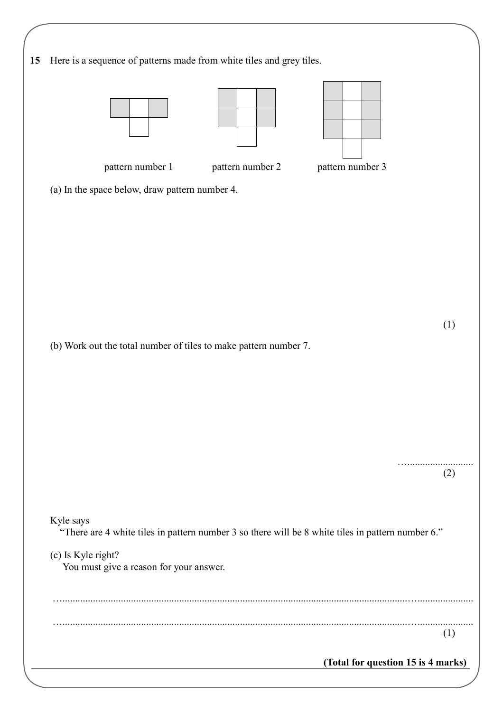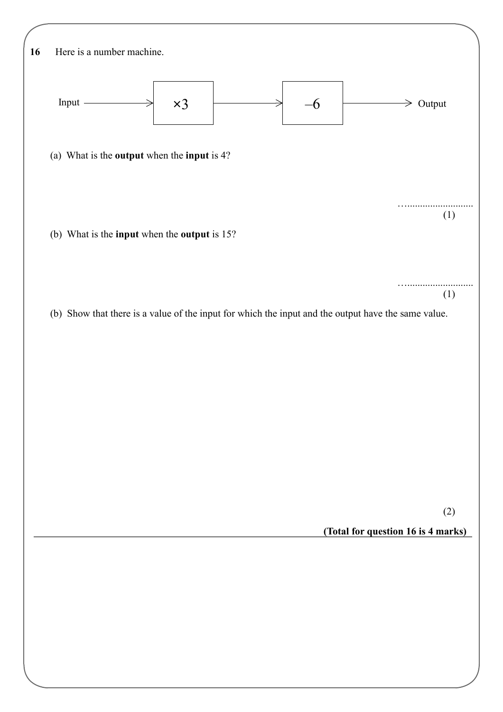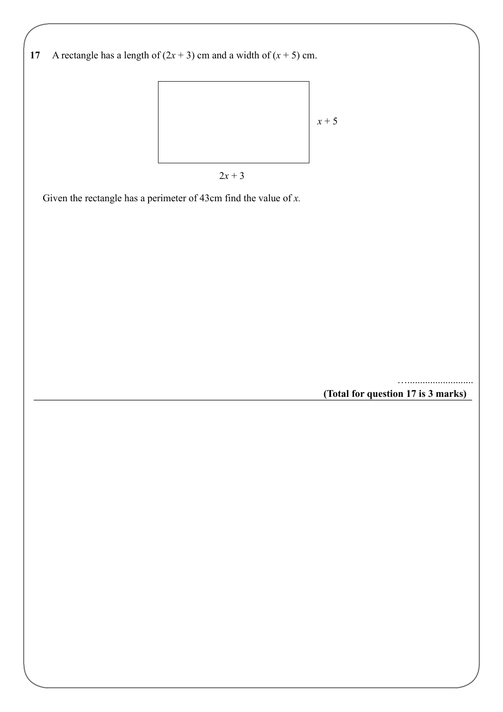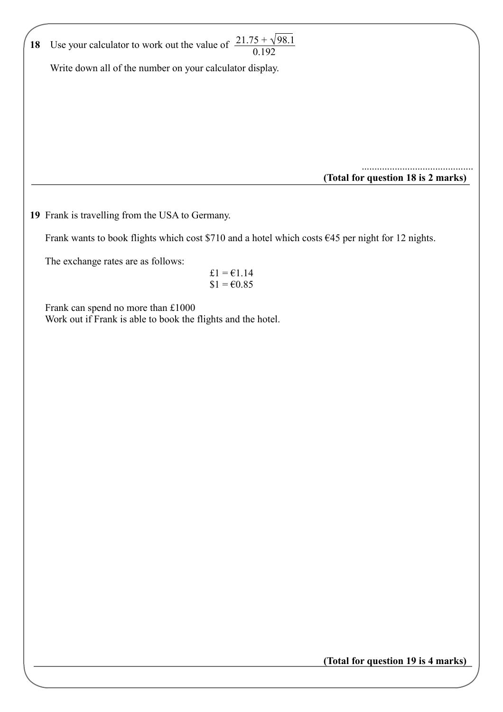| 18 | Use your calculator to work out the value of $\frac{21.75 + \sqrt{98.1}}{0.192}$                    |
|----|-----------------------------------------------------------------------------------------------------|
|    | Write down all of the number on your calculator display.                                            |
|    |                                                                                                     |
|    |                                                                                                     |
|    |                                                                                                     |
|    |                                                                                                     |
|    |                                                                                                     |
|    | (Total for question 18 is 2 marks)                                                                  |
|    | 19 Frank is travelling from the USA to Germany.                                                     |
|    | Frank wants to book flights which cost \$710 and a hotel which costs $645$ per night for 12 nights. |
|    | The exchange rates are as follows:                                                                  |
|    | $\pounds1 = \pounds1.14$<br>$$1 = 60.85$                                                            |
|    | Frank can spend no more than £1000<br>Work out if Frank is able to book the flights and the hotel.  |
|    |                                                                                                     |
|    |                                                                                                     |
|    |                                                                                                     |
|    |                                                                                                     |
|    |                                                                                                     |
|    |                                                                                                     |
|    |                                                                                                     |
|    |                                                                                                     |
|    |                                                                                                     |
|    |                                                                                                     |
|    |                                                                                                     |
|    |                                                                                                     |
|    |                                                                                                     |
|    |                                                                                                     |
|    |                                                                                                     |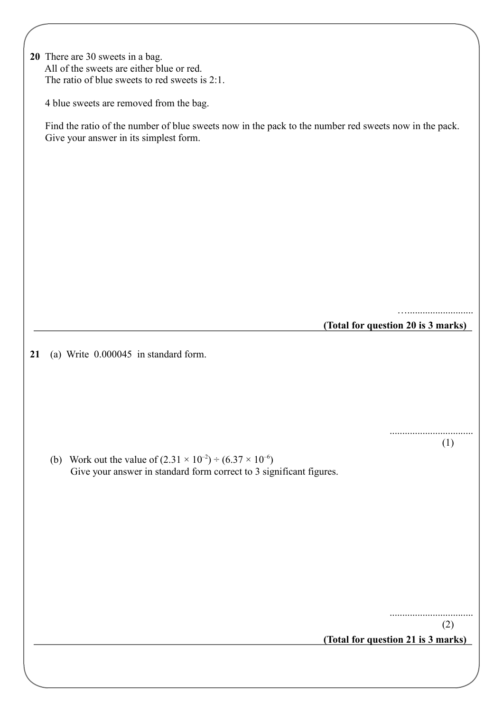| 20 There are 30 sweets in a bag.                  |  |  |  |
|---------------------------------------------------|--|--|--|
| All of the sweets are either blue or red.         |  |  |  |
| The ratio of blue sweets to red sweets is $2:1$ . |  |  |  |

4 blue sweets are removed from the bag.

 Find the ratio of the number of blue sweets now in the pack to the number red sweets now in the pack. Give your answer in its simplest form.

**(Total for question 20 is 3 marks)**

…..........................

.................................

(1)

**21** (a) Write 0.000045 in standard form.

**(b)** Work out the value of  $(2.31 \times 10^{-2}) \div (6.37 \times 10^{-6})$ Give your answer in standard form correct to 3 significant figures.

.................................

(2)

**(Total for question 21 is 3 marks)**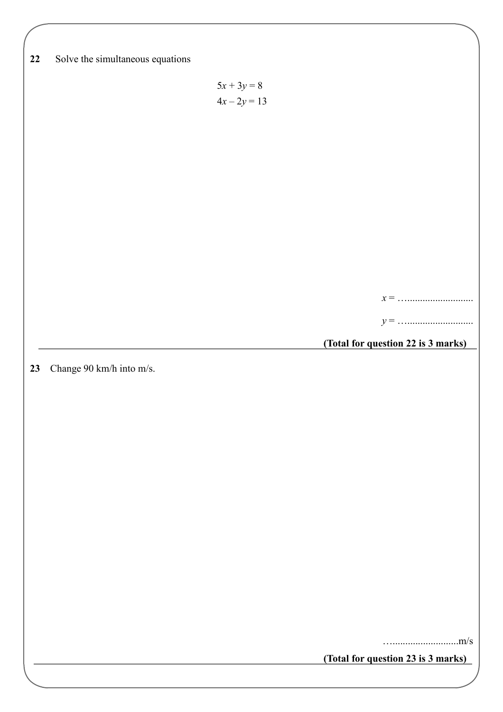| $22\,$ | Solve the simultaneous equations |                |                                    |
|--------|----------------------------------|----------------|------------------------------------|
|        |                                  |                |                                    |
|        |                                  | $5x + 3y = 8$  |                                    |
|        |                                  |                |                                    |
|        |                                  | $4x - 2y = 13$ |                                    |
|        |                                  |                |                                    |
|        |                                  |                |                                    |
|        |                                  |                |                                    |
|        |                                  |                |                                    |
|        |                                  |                |                                    |
|        |                                  |                |                                    |
|        |                                  |                |                                    |
|        |                                  |                |                                    |
|        |                                  |                |                                    |
|        |                                  |                |                                    |
|        |                                  |                |                                    |
|        |                                  |                |                                    |
|        |                                  |                |                                    |
|        |                                  |                |                                    |
|        |                                  |                |                                    |
|        |                                  |                |                                    |
|        |                                  |                |                                    |
|        |                                  |                |                                    |
|        |                                  |                | (Total for question 22 is 3 marks) |
|        |                                  |                |                                    |
|        |                                  |                |                                    |
| 23     |                                  |                |                                    |
|        | Change 90 km/h into m/s.         |                |                                    |
|        |                                  |                |                                    |
|        |                                  |                |                                    |
|        |                                  |                |                                    |
|        |                                  |                |                                    |
|        |                                  |                |                                    |
|        |                                  |                |                                    |
|        |                                  |                |                                    |
|        |                                  |                |                                    |
|        |                                  |                |                                    |
|        |                                  |                |                                    |
|        |                                  |                |                                    |
|        |                                  |                |                                    |
|        |                                  |                |                                    |
|        |                                  |                |                                    |
|        |                                  |                |                                    |
|        |                                  |                |                                    |
|        |                                  |                |                                    |
|        |                                  |                |                                    |
|        |                                  |                |                                    |
|        |                                  |                |                                    |
|        |                                  |                |                                    |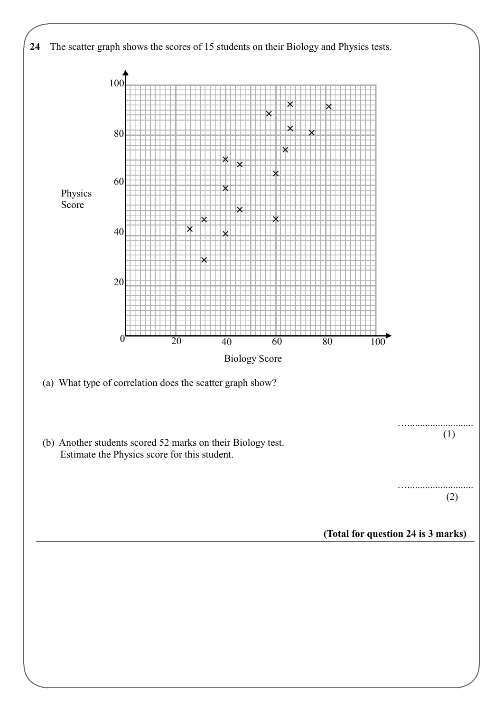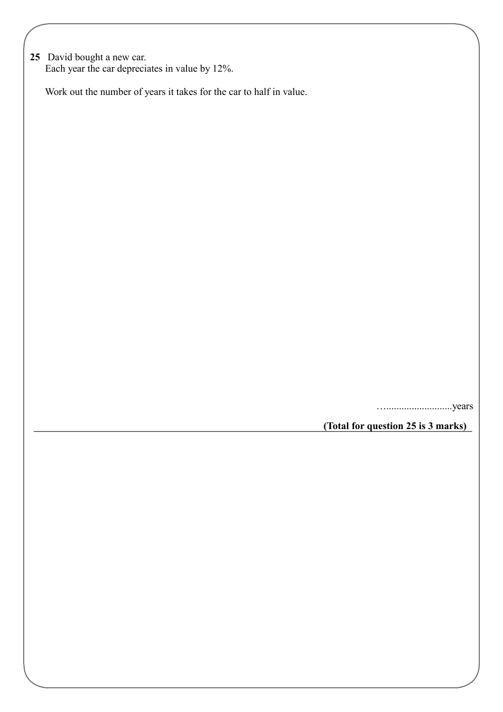**25** David bought a new car. Each year the car depreciates in value by 12%.

Work out the number of years it takes for the car to half in value.

…..........................years

**(Total for question 25 is 3 marks)**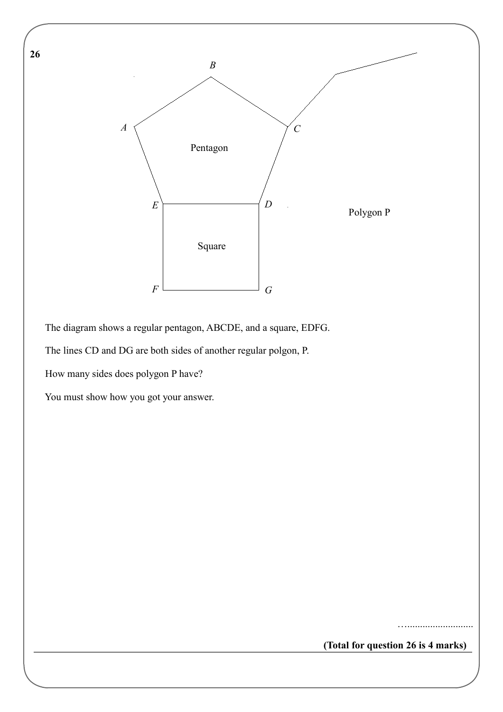

The diagram shows a regular pentagon, ABCDE, and a square, EDFG.

The lines CD and DG are both sides of another regular polgon, P.

How many sides does polygon P have?

**26** 

You must show how you got your answer.

**(Total for question 26 is 4 marks)**

…..........................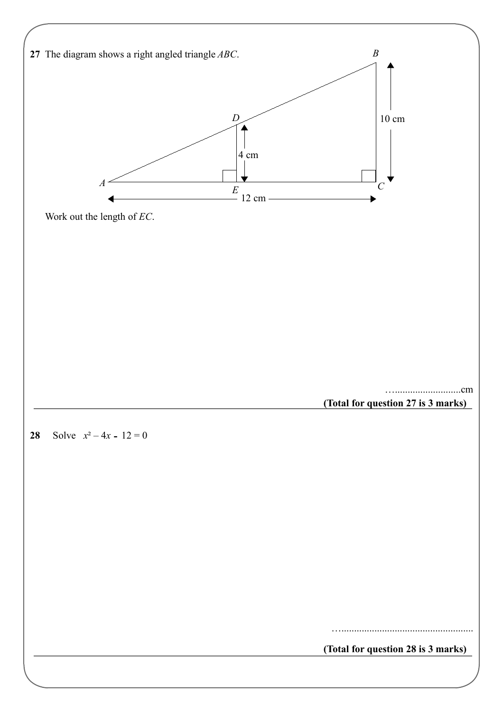